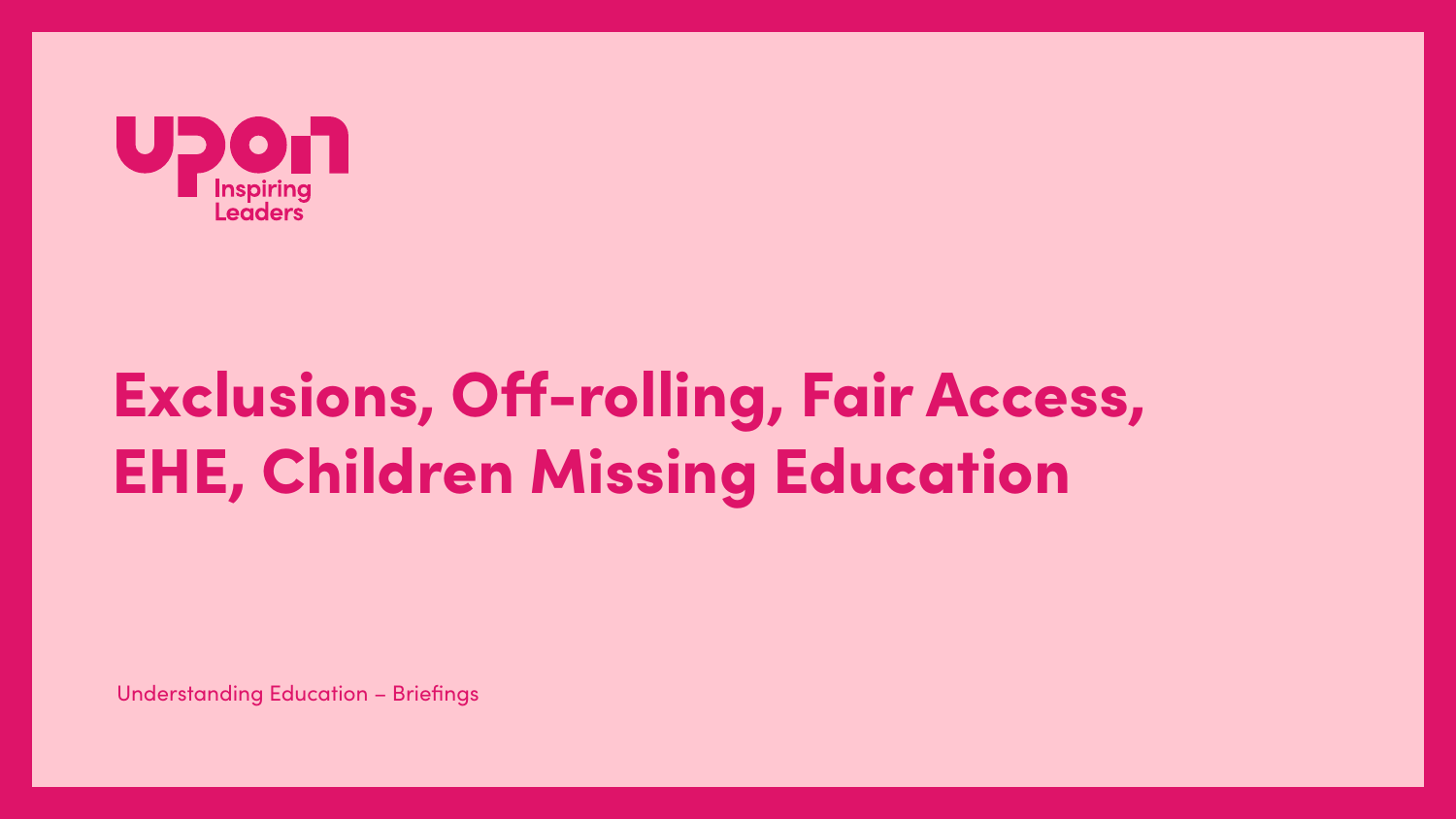

# Exclusions, Off-rolling, Fair Access, **EHE, Children Missing Education**

**Understanding Education - Briefings**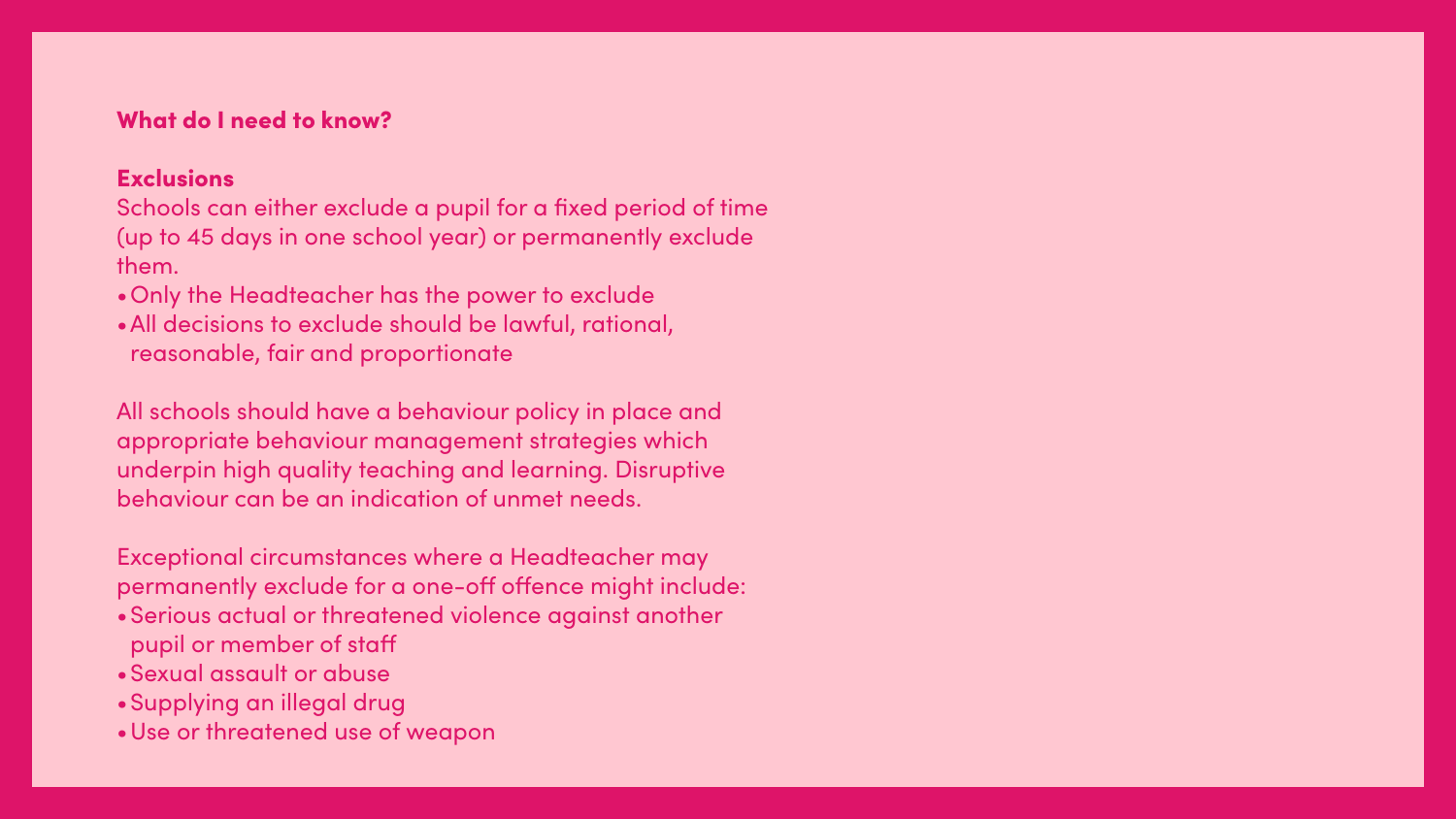### What do I need to know?

### **Exclusions**

Schools can either exclude a pupil for a fixed period of time (up to 45 days in one school year) or permanently exclude them.

- •Only the Headteacher has the power to exclude
- •All decisions to exclude should be lawful, rational, reasonable, fair and proportionate

All schools should have a behaviour policy in place and appropriate behaviour management strategies which underpin high quality teaching and learning. Disruptive behaviour can be an indication of unmet needs.

Exceptional circumstances where a Headteacher may permanently exclude for a one-off offence might include: •Serious actual or threatened violence against another

- pupil or member of staff
- •Sexual assault or abuse
- •Supplying an illegal drug
- •Use or threatened use of weapon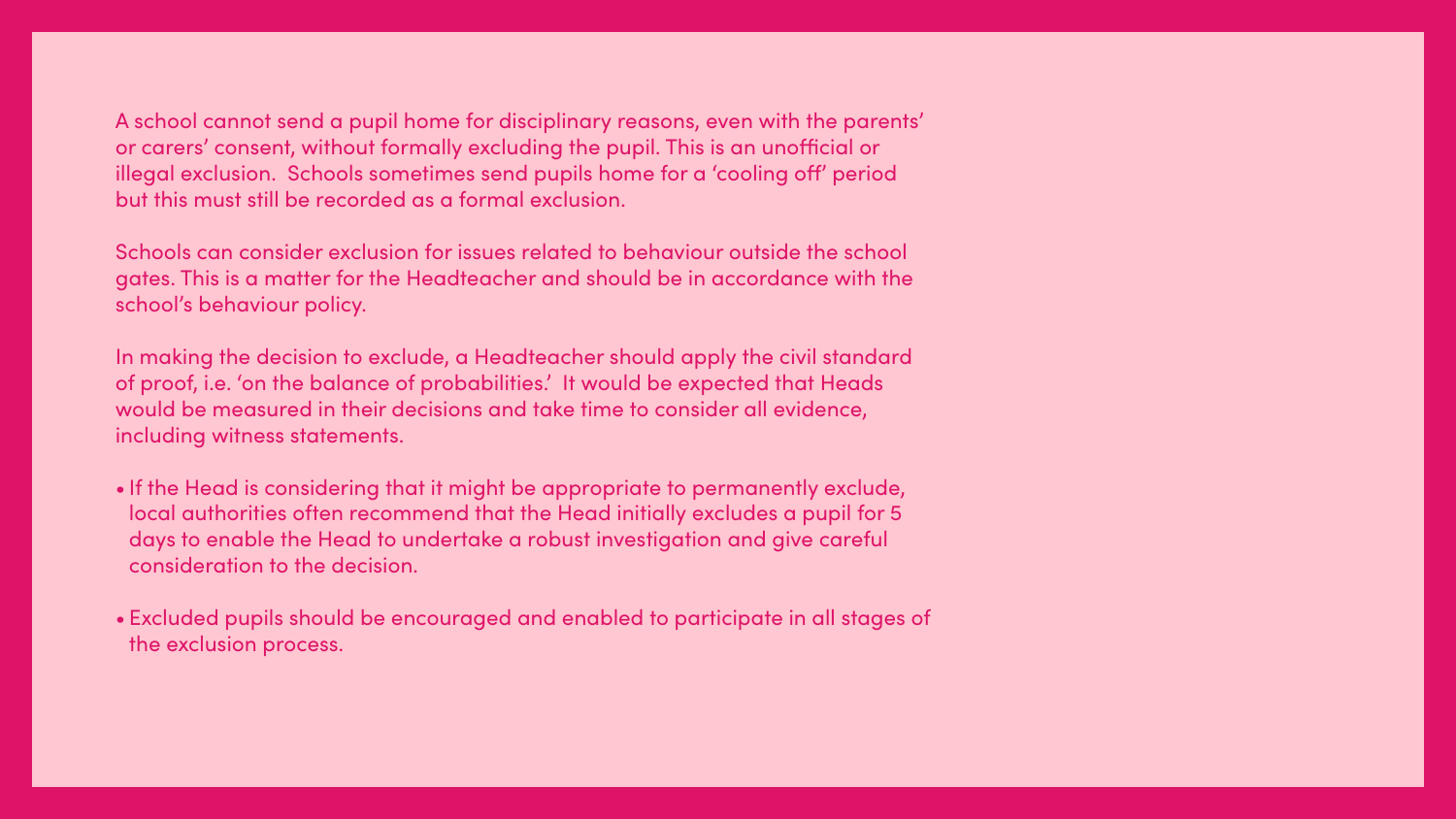A school cannot send a pupil home for disciplinary reasons, even with the parents' or carers' consent, without formally excluding the pupil. This is an unofficial or illegal exclusion. Schools sometimes send pupils home for a 'cooling off' period but this must still be recorded as a formal exclusion.

Schools can consider exclusion for issues related to behaviour outside the school gates. This is a matter for the Headteacher and should be in accordance with the school's behaviour policy.

In making the decision to exclude, a Headteacher should apply the civil standard of proof, i.e. 'on the balance of probabilities.' It would be expected that Heads would be measured in their decisions and take time to consider all evidence, including witness statements.

- If the Head is considering that it might be appropriate to permanently exclude, local authorities often recommend that the Head initially excludes a pupil for 5 days to enable the Head to undertake a robust investigation and give careful consideration to the decision.
- Excluded pupils should be encouraged and enabled to participate in all stages of the exclusion process.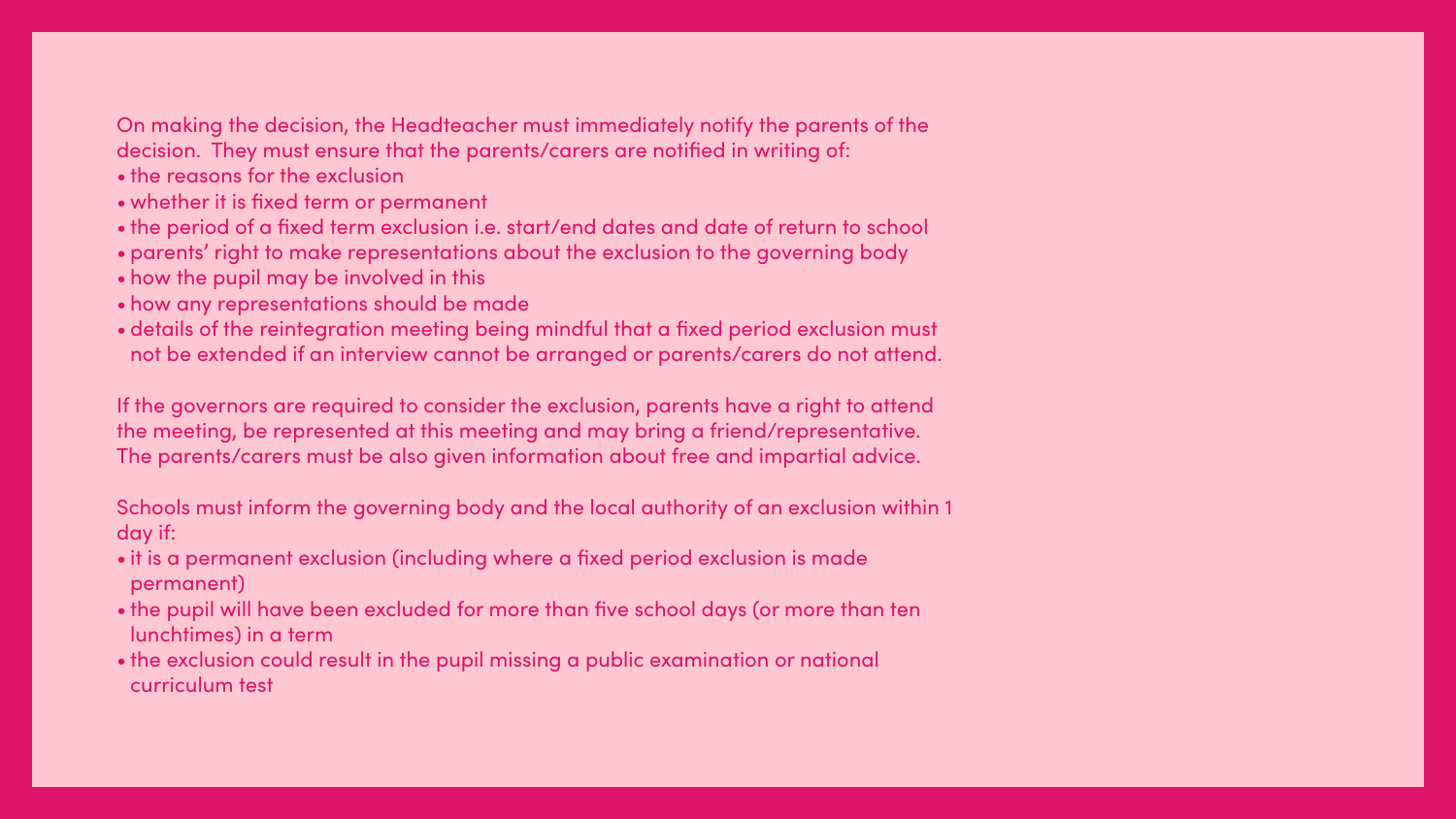### On making the decision, the Headteacher must immediately notify the parents of the decision. They must ensure that the parents/carers are notified in writing of:

- the reasons for the exclusion
- whether it is fixed term or permanent
- the period of a fixed term exclusion i.e. start/end dates and date of return to school
- parents' right to make representations about the exclusion to the governing body
- how the pupil may be involved in this
- how any representations should be made
- details of the reintegration meeting being mindful that a fixed period exclusion must not be extended if an interview cannot be arranged or parents/carers do not attend.

If the governors are required to consider the exclusion, parents have a right to attend the meeting, be represented at this meeting and may bring a friend/representative. The parents/carers must be also given information about free and impartial advice.

Schools must inform the governing body and the local authority of an exclusion within 1 day if:

- it is a permanent exclusion (including where a fixed period exclusion is made permanent)
- the pupil will have been excluded for more than five school days (or more than ten lunchtimes) in a term
- the exclusion could result in the pupil missing a public examination or national curriculum test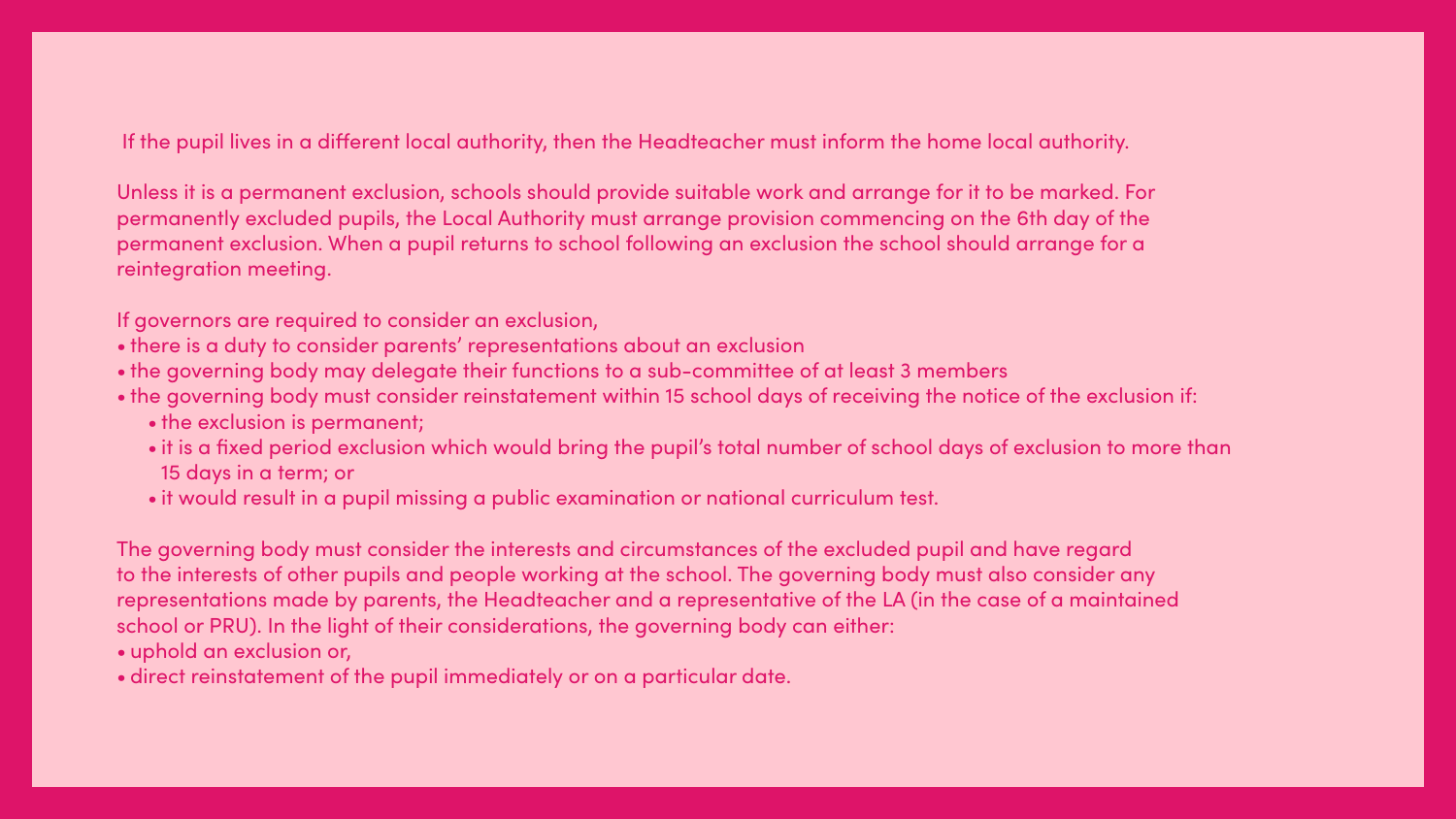If the pupil lives in a different local authority, then the Headteacher must inform the home local authority.

Unless it is a permanent exclusion, schools should provide suitable work and arrange for it to be marked. For permanently excluded pupils, the Local Authority must arrange provision commencing on the 6th day of the permanent exclusion. When a pupil returns to school following an exclusion the school should arrange for a reintegration meeting.

If governors are required to consider an exclusion,

• the governing body must consider reinstatement within 15 school days of receiving the notice of the exclusion if:

- there is a duty to consider parents' representations about an exclusion
- the governing body may delegate their functions to a sub-committee of at least 3 members
- - the exclusion is permanent;
	- 15 days in a term; or
	- it would result in a pupil missing a public examination or national curriculum test.

• it is a fixed period exclusion which would bring the pupil's total number of school days of exclusion to more than

The governing body must consider the interests and circumstances of the excluded pupil and have regard to the interests of other pupils and people working at the school. The governing body must also consider any representations made by parents, the Headteacher and a representative of the LA (in the case of a maintained school or PRU). In the light of their considerations, the governing body can either: • uphold an exclusion or,

• direct reinstatement of the pupil immediately or on a particular date.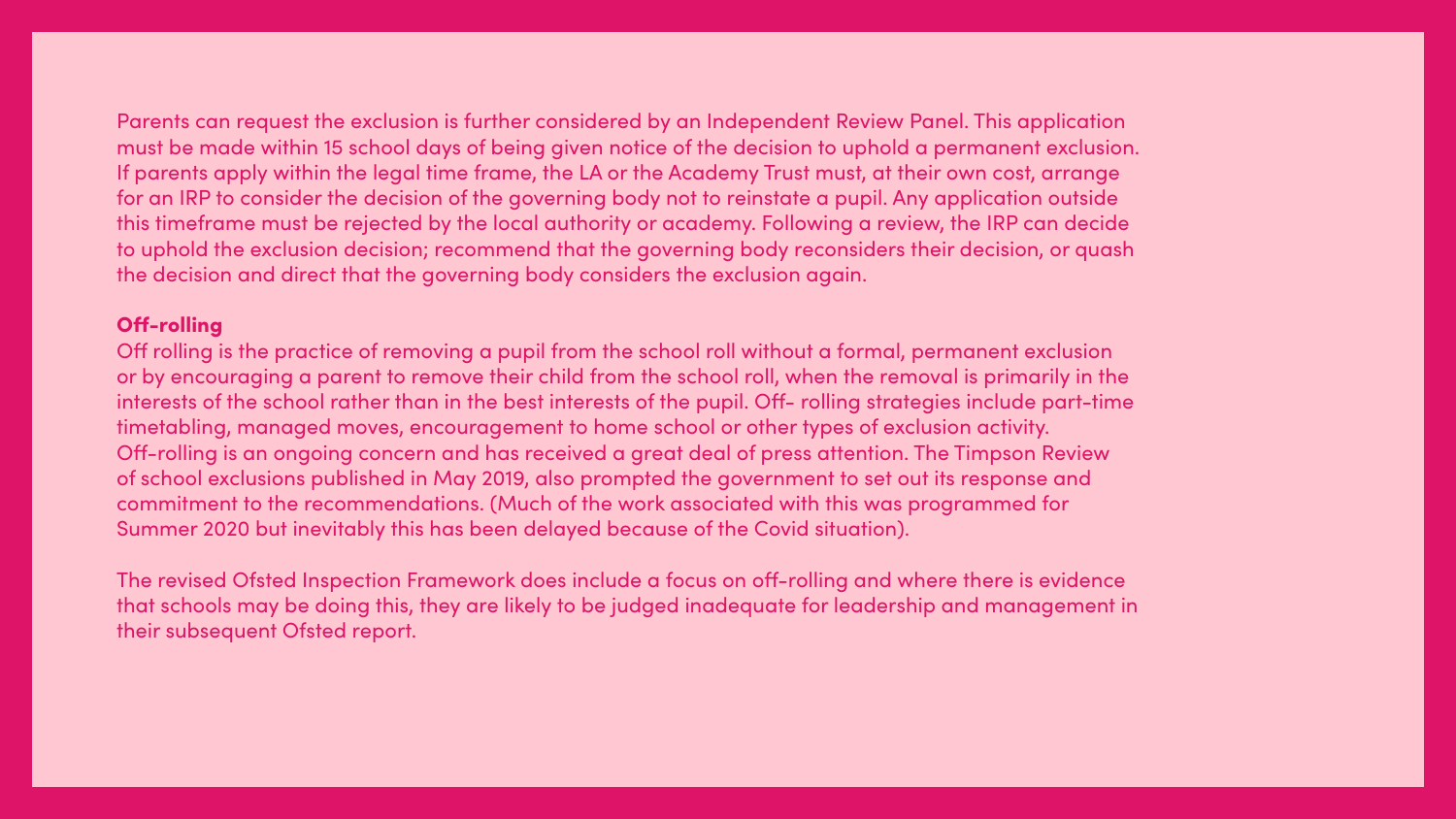### Parents can request the exclusion is further considered by an Independent Review Panel. This application must be made within 15 school days of being given notice of the decision to uphold a permanent exclusion. If parents apply within the legal time frame, the LA or the Academy Trust must, at their own cost, arrange for an IRP to consider the decision of the governing body not to reinstate a pupil. Any application outside this timeframe must be rejected by the local authority or academy. Following a review, the IRP can decide to uphold the exclusion decision; recommend that the governing body reconsiders their decision, or quash the decision and direct that the governing body considers the exclusion again.

### Off-rolling

Off rolling is the practice of removing a pupil from the school roll without a formal, permanent exclusion or by encouraging a parent to remove their child from the school roll, when the removal is primarily in the interests of the school rather than in the best interests of the pupil. Off- rolling strategies include part-time timetabling, managed moves, encouragement to home school or other types of exclusion activity. Off-rolling is an ongoing concern and has received a great deal of press attention. The Timpson Review of school exclusions published in May 2019, also prompted the government to set out its response and commitment to the recommendations. (Much of the work associated with this was programmed for Summer 2020 but inevitably this has been delayed because of the Covid situation).

The revised Ofsted Inspection Framework does include a focus on off-rolling and where there is evidence that schools may be doing this, they are likely to be judged inadequate for leadership and management in their subsequent Ofsted report.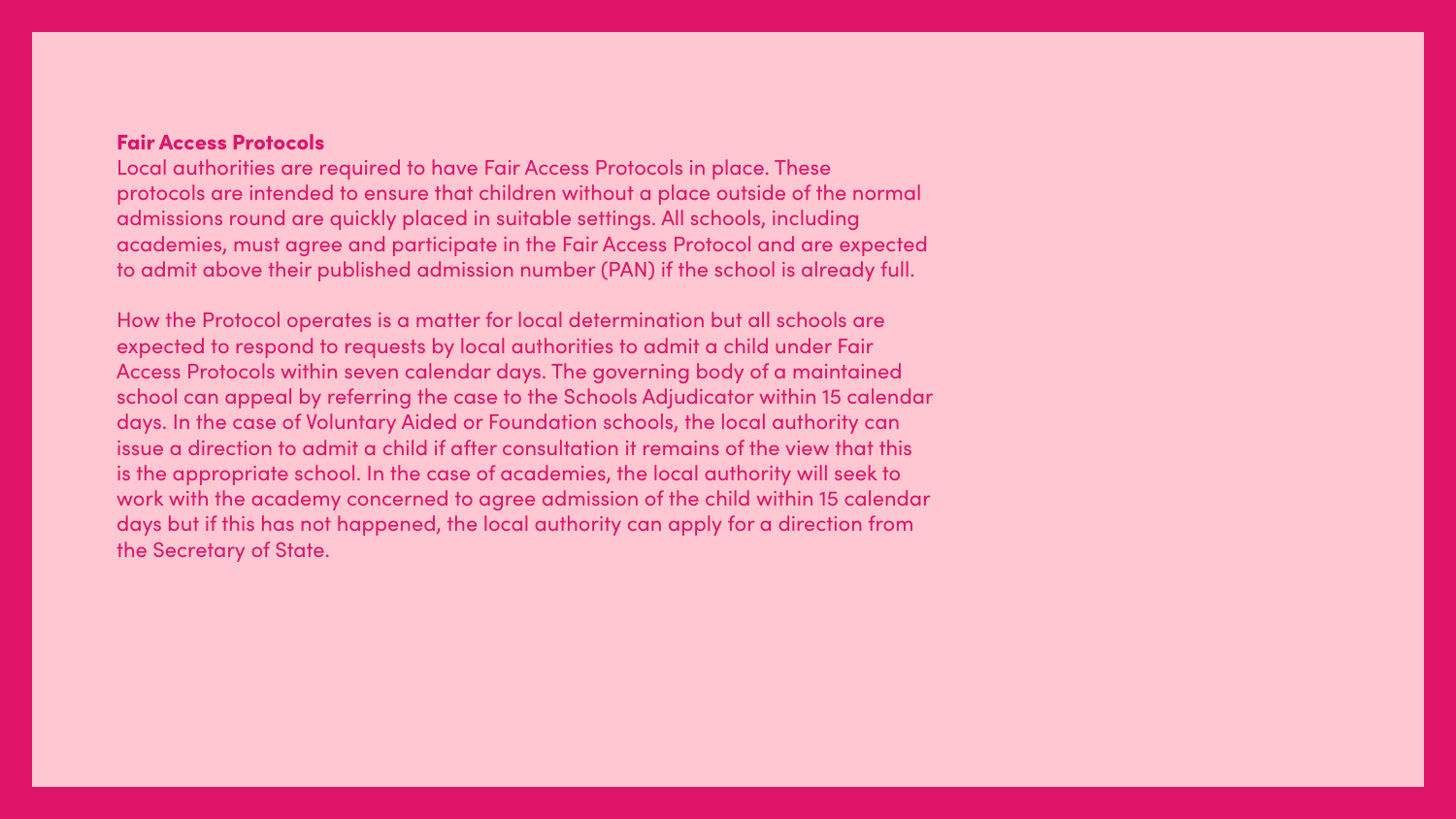**Fair Access Protocols** Local authorities are required to have Fair Access Protocols in place. These protocols are intended to ensure that children without a place outside of the normal admissions round are quickly placed in suitable settings. All schools, including academies, must agree and participate in the Fair Access Protocol and are expected to admit above their published admission number (PAN) if the school is already full.

How the Protocol operates is a matter for local determination but all schools are expected to respond to requests by local authorities to admit a child under Fair Access Protocols within seven calendar days. The governing body of a maintained school can appeal by referring the case to the Schools Adjudicator within 15 calendar days. In the case of Voluntary Aided or Foundation schools, the local authority can issue a direction to admit a child if after consultation it remains of the view that this is the appropriate school. In the case of academies, the local authority will seek to work with the academy concerned to agree admission of the child within 15 calendar days but if this has not happened, the local authority can apply for a direction from the Secretary of State.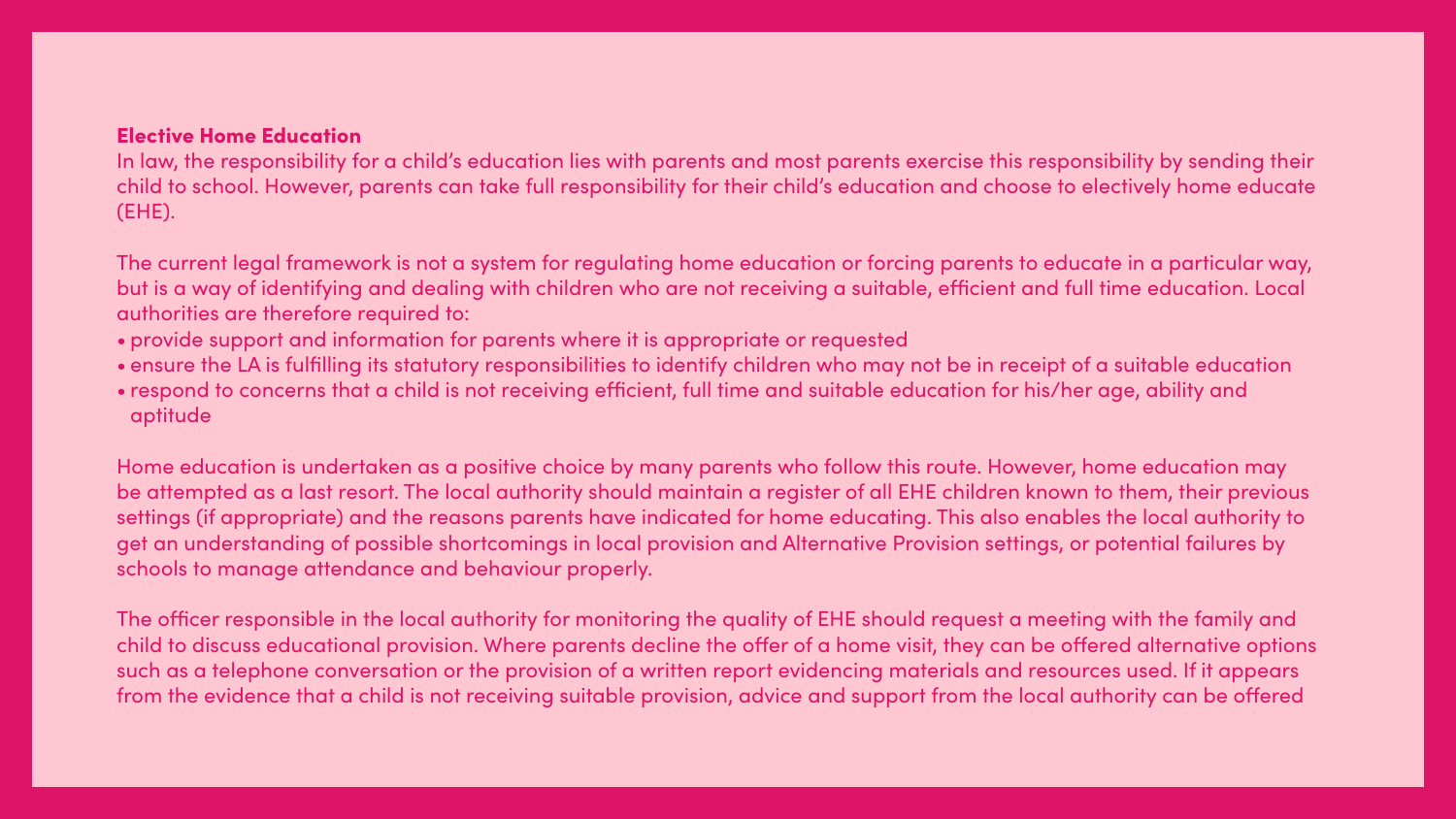### Elective Home Education

In law, the responsibility for a child's education lies with parents and most parents exercise this responsibility by sending their child to school. However, parents can take full responsibility for their child's education and choose to electively home educate (EHE).

The current legal framework is not a system for regulating home education or forcing parents to educate in a particular way, but is a way of identifying and dealing with children who are not receiving a suitable, efficient and full time education. Local authorities are therefore required to:

- provide support and information for parents where it is appropriate or requested
- 
- aptitude

• ensure the LA is fulfilling its statutory responsibilities to identify children who may not be in receipt of a suitable education • respond to concerns that a child is not receiving efficient, full time and suitable education for his/her age, ability and

Home education is undertaken as a positive choice by many parents who follow this route. However, home education may be attempted as a last resort. The local authority should maintain a register of all EHE children known to them, their previous settings (if appropriate) and the reasons parents have indicated for home educating. This also enables the local authority to get an understanding of possible shortcomings in local provision and Alternative Provision settings, or potential failures by schools to manage attendance and behaviour properly.

The officer responsible in the local authority for monitoring the quality of EHE should request a meeting with the family and child to discuss educational provision. Where parents decline the offer of a home visit, they can be offered alternative options such as a telephone conversation or the provision of a written report evidencing materials and resources used. If it appears from the evidence that a child is not receiving suitable provision, advice and support from the local authority can be offered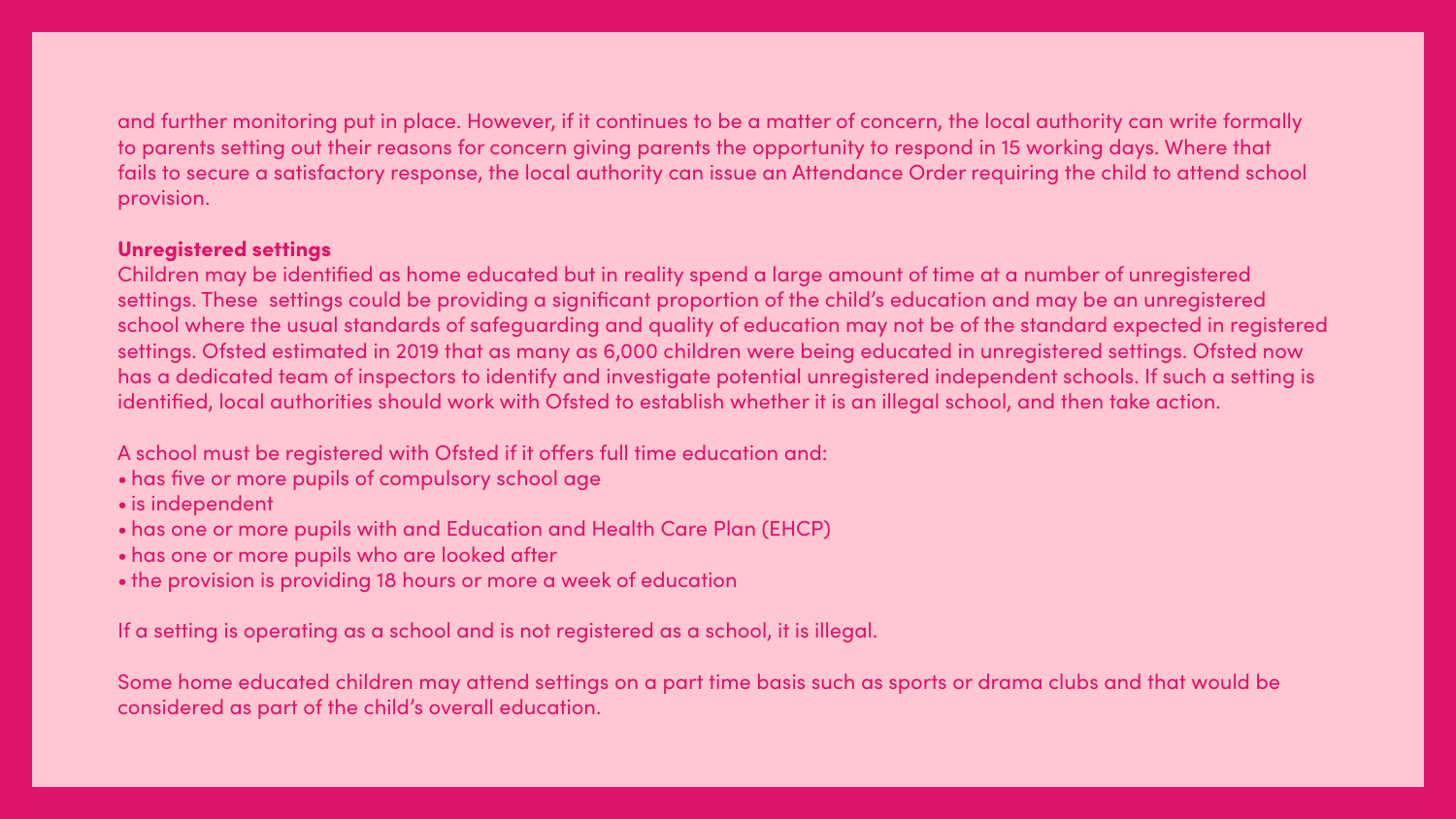### and further monitoring put in place. However, if it continues to be a matter of concern, the local authority can write formally to parents setting out their reasons for concern giving parents the opportunity to respond in 15 working days. Where that fails to secure a satisfactory response, the local authority can issue an Attendance Order requiring the child to attend school

provision.

### Unregistered settings

Children may be identified as home educated but in reality spend a large amount of time at a number of unregistered settings. These settings could be providing a significant proportion of the child's education and may be an unregistered school where the usual standards of safeguarding and quality of education may not be of the standard expected in registered settings. Ofsted estimated in 2019 that as many as 6,000 children were being educated in unregistered settings. Ofsted now has a dedicated team of inspectors to identify and investigate potential unregistered independent schools. If such a setting is identified, local authorities should work with Ofsted to establish whether it is an illegal school, and then take action.

- A school must be registered with Ofsted if it offers full time education and:
- has five or more pupils of compulsory school age
- is independent
- has one or more pupils with and Education and Health Care Plan (EHCP)
- has one or more pupils who are looked after
- the provision is providing 18 hours or more a week of education

If a setting is operating as a school and is not registered as a school, it is illegal.

Some home educated children may attend settings on a part time basis such as sports or drama clubs and that would be considered as part of the child's overall education.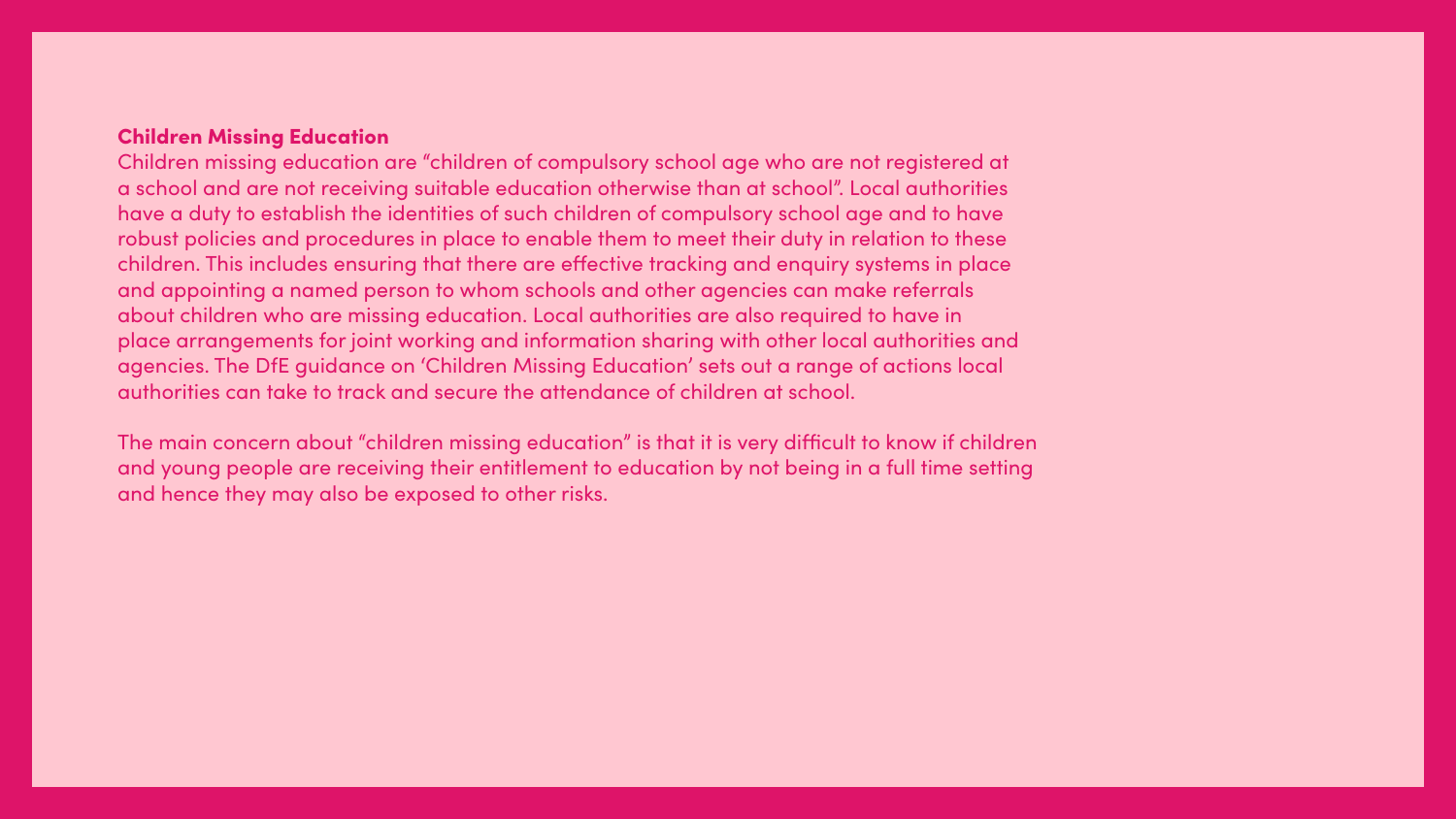### **Children Missing Education**

Children missing education are "children of compulsory school age who are not registered at a school and are not receiving suitable education otherwise than at school". Local authorities have a duty to establish the identities of such children of compulsory school age and to have robust policies and procedures in place to enable them to meet their duty in relation to these children. This includes ensuring that there are effective tracking and enquiry systems in place and appointing a named person to whom schools and other agencies can make referrals about children who are missing education. Local authorities are also required to have in place arrangements for joint working and information sharing with other local authorities and agencies. The DfE guidance on 'Children Missing Education' sets out a range of actions local authorities can take to track and secure the attendance of children at school.

The main concern about "children missing education" is that it is very difficult to know if children and young people are receiving their entitlement to education by not being in a full time setting and hence they may also be exposed to other risks.